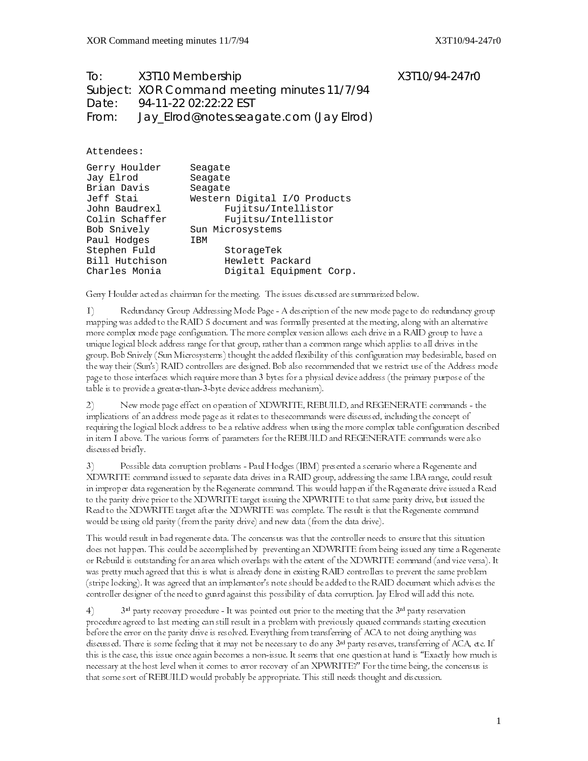To: X3T10 Membership X3T10/94-247r0 Subject: XOR Command meeting minutes 11/7/94 Date: 94-11-22 02:22:22 EST From: Jay\_Elrod@notes.seagate.com (Jay Elrod)

Attendees:

| Gerry Houlder  | Seagate                      |
|----------------|------------------------------|
| Jay Elrod      | Seagate                      |
| Brian Davis    | Seagate                      |
| Jeff Stai      | Western Digital I/O Products |
| John Baudrexl  | Fujitsu/Intellistor          |
| Colin Schaffer | Fujitsu/Intellistor          |
| Bob Snively    | Sun Microsystems             |
| Paul Hodges    | IBM                          |
| Stephen Fuld   | StorageTek                   |
| Bill Hutchison | Hewlett Packard              |
| Charles Monia  | Digital Equipment Corp.      |

Gerry Houlder acted as chairman for the meeting. The issues discussed are summarized below.

I) Redundancy Group Addressing Mode Page - A description of the new mode page to do redundancy group mapping was added to the RAID 5 document and was formally presented at the meeting, along with an alternative more complex mode page configuration. The more complex version allows each drive in a RAID group to have a unique logical block address range for that group, rather than a common range which applies to all drives in the group. Bob Snively (Sun Microsystems) thought the added flexibility of this configuration may bedesirable, based on the way their (Sun's) RAID controllers are designed. Bob also recommended that we restrict use of the Address mode page to those interfaces which require more than 3 bytes for a physical device address (the primary purpose of the table is to provide a greater-than-3-byte device address mechanism).

2) New mode page effect on operation of XDWRITE, REBUILD, and REGENERATE commands - the implications of an address mode page as it relates to thesecommands were discussed, including the concept of requiring the logical block address to be a relative address when using the more complex table configuration described in item I above. The various forms of parameters for the REBUILD and REGENERATE commands were also discussed briefly.

3) Possible data corruption problems - Paul Hodges (IBM) presented a scenario where a Regenerate and XDWRITE command issued to separate data drives in a RAID group, addressing the same LBA range, could result in improper data regeneration by the Regenerate command. This would happen if the Regenerate drive issued a Read to the parity drive prior to the XDWRITE target issuing the XPWRITE to that same parity drive, but issued the Read to the XDWRITE target after the XDWRITE was complete. The result is that the Regenerate command would be using old parity (from the parity drive) and new data (from the data drive).

This would result in bad regenerate data. The concensus was that the controller needs to ensure that this situation does not happen. This could be accomplished by preventing an XDWRITE from being issued any time a Regenerate or Rebuild is outstanding for an area which overlaps with the extent of the XDWRITE command (and vice versa). It was pretty much agreed that this is what is already done in existing RAID controllers to prevent the same problem (stripe locking). It was agreed that an implementor's note should be added to the RAID document which advises the controller designer of the need to guard against this possibility of data corruption. Jay Elrod will add this note .

 $3^{rd}$  party recovery procedure - It was pointed out prior to the meeting that the  $3^{rd}$  party reservation procedure agreed to last meeting can still result in a problem with previously queued commands starting execution before the error on the parity drive is resolved. Everything from transferring of ACA to not doing anything was discussed. There is some feeling that it may not be necessary to do any 3<sup>rd</sup> party reserves, transferring of ACA, etc. If this is the case, this issue once again becomes a non-issue. It seems that one question at hand is "Exactly how much is necessary at the host level when it comes to error recovery of an XPWRITE?" For the time being, the concensus is that some sort of REBUILD would probably be appropriate. This still needs thought and discussion.